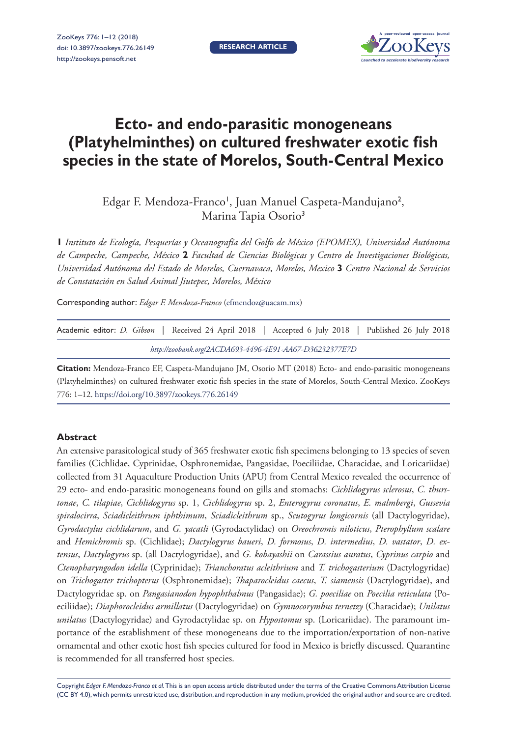

# **Ecto- and endo-parasitic monogeneans (Platyhelminthes) on cultured freshwater exotic fish species in the state of Morelos, South-Central Mexico**

Edgar F. Mendoza-Franco<sup>1</sup>, Juan Manuel Caspeta-Mandujano<sup>2</sup>, Marina Tapia Osorio<sup>3</sup>

**1** *Instituto de Ecología, Pesquerías y Oceanografía del Golfo de México (EPOMEX), Universidad Autónoma de Campeche, Campeche, México* **2** *Facultad de Ciencias Biológicas y Centro de Investigaciones Biológicas, Universidad Autónoma del Estado de Morelos, Cuernavaca, Morelos, Mexico* **3** *Centro Nacional de Servicios de Constatación en Salud Animal Jiutepec, Morelos, México*

Corresponding author: *Edgar F. Mendoza-Franco* [\(efmendoz@uacam.mx\)](mailto:efmendoz@uacam.mx)

|                                                         |  |  |  |  |  |  |  |  |  |  | Academic editor: <i>D. Gibson</i>   Received 24 April 2018   Accepted 6 July 2018   Published 26 July 2018 |  |  |
|---------------------------------------------------------|--|--|--|--|--|--|--|--|--|--|------------------------------------------------------------------------------------------------------------|--|--|
| http://zoobank.org/2ACDA693-4496-4E91-AA67-D36232377E7D |  |  |  |  |  |  |  |  |  |  |                                                                                                            |  |  |

**Citation:** Mendoza-Franco EF, Caspeta-Mandujano JM, Osorio MT (2018) Ecto- and endo-parasitic monogeneans (Platyhelminthes) on cultured freshwater exotic fish species in the state of Morelos, South-Central Mexico. ZooKeys 776: 1–12.<https://doi.org/10.3897/zookeys.776.26149>

## **Abstract**

An extensive parasitological study of 365 freshwater exotic fish specimens belonging to 13 species of seven families (Cichlidae, Cyprinidae, Osphronemidae, Pangasidae, Poeciliidae, Characidae, and Loricariidae) collected from 31 Aquaculture Production Units (APU) from Central Mexico revealed the occurrence of 29 ecto- and endo-parasitic monogeneans found on gills and stomachs: *Cichlidogyrus sclerosus*, *C. thurstonae*, *C. tilapiae*, *Cichlidogyrus* sp. 1, *Cichlidogyrus* sp. 2, *Enterogyrus coronatus*, *E. malmbergi*, *Gussevia spiralocirra*, *Sciadicleithrum iphthimum*, *Sciadicleithrum* sp., *Scutogyrus longicornis* (all Dactylogyridae), *Gyrodactylus cichlidarum*, and *G. yacatli* (Gyrodactylidae) on *Oreochromis niloticus*, *Pterophyllum scalare* and *Hemichromis* sp. (Cichlidae); *Dactylogyrus baueri*, *D. formosus*, *D. intermedius*, *D. vastator*, *D. extensus*, *Dactylogyrus* sp. (all Dactylogyridae), and *G. kobayashii* on *Carassius auratus*, *Cyprinus carpio* and *Ctenopharyngodon idella* (Cyprinidae); *Trianchoratus acleithrium* and *T. trichogasterium* (Dactylogyridae) on *Trichogaster trichopterus* (Osphronemidae); *Thaparocleidus caecus*, *T. siamensis* (Dactylogyridae), and Dactylogyridae sp. on *Pangasianodon hypophthalmus* (Pangasidae); *G. poeciliae* on *Poecilia reticulata* (Poeciliidae); *Diaphorocleidus armillatus* (Dactylogyridae) on *Gymnocorymbus ternetzy* (Characidae); *Unilatus unilatus* (Dactylogyridae) and Gyrodactylidae sp. on *Hypostomus* sp. (Loricariidae). The paramount importance of the establishment of these monogeneans due to the importation/exportation of non-native ornamental and other exotic host fish species cultured for food in Mexico is briefly discussed. Quarantine is recommended for all transferred host species.

Copyright *Edgar F. Mendoza-Franco et al.* This is an open access article distributed under the terms of the [Creative Commons Attribution License](http://creativecommons.org/licenses/by/4.0/)  [\(CC BY 4.0\)](http://creativecommons.org/licenses/by/4.0/), which permits unrestricted use, distribution, and reproduction in any medium, provided the original author and source are credited.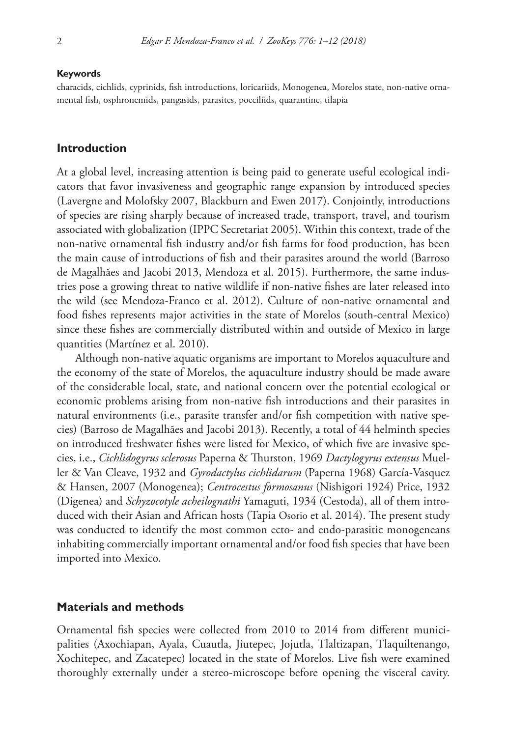#### **Keywords**

characids, cichlids, cyprinids, fish introductions, loricariids, Monogenea, Morelos state, non-native ornamental fish, osphronemids, pangasids, parasites, poeciliids, quarantine, tilapia

## **Introduction**

At a global level, increasing attention is being paid to generate useful ecological indicators that favor invasiveness and geographic range expansion by introduced species (Lavergne and Molofsky 2007, Blackburn and Ewen 2017). Conjointly, introductions of species are rising sharply because of increased trade, transport, travel, and tourism associated with globalization (IPPC Secretariat 2005). Within this context, trade of the non-native ornamental fish industry and/or fish farms for food production, has been the main cause of introductions of fish and their parasites around the world (Barroso de Magalhães and Jacobi 2013, Mendoza et al. 2015). Furthermore, the same industries pose a growing threat to native wildlife if non-native fishes are later released into the wild (see Mendoza-Franco et al. 2012). Culture of non-native ornamental and food fishes represents major activities in the state of Morelos (south-central Mexico) since these fishes are commercially distributed within and outside of Mexico in large quantities (Martínez et al. 2010).

Although non-native aquatic organisms are important to Morelos aquaculture and the economy of the state of Morelos, the aquaculture industry should be made aware of the considerable local, state, and national concern over the potential ecological or economic problems arising from non-native fish introductions and their parasites in natural environments (i.e., parasite transfer and/or fish competition with native species) (Barroso de Magalhães and Jacobi 2013). Recently, a total of 44 helminth species on introduced freshwater fishes were listed for Mexico, of which five are invasive species, i.e., *Cichlidogyrus sclerosus* Paperna & Thurston, 1969 *Dactylogyrus extensus* Mueller & Van Cleave, 1932 and *Gyrodactylus cichlidarum* (Paperna 1968) García-Vasquez & Hansen, 2007 (Monogenea); *Centrocestus formosanus* (Nishigori 1924) Price, 1932 (Digenea) and *Schyzocotyle acheilognathi* Yamaguti, 1934 (Cestoda), all of them introduced with their Asian and African hosts (Tapia Osorio et al. 2014). The present study was conducted to identify the most common ecto- and endo-parasitic monogeneans inhabiting commercially important ornamental and/or food fish species that have been imported into Mexico.

#### **Materials and methods**

Ornamental fish species were collected from 2010 to 2014 from different municipalities (Axochiapan, Ayala, Cuautla, Jiutepec, Jojutla, Tlaltizapan, Tlaquiltenango, Xochitepec, and Zacatepec) located in the state of Morelos. Live fish were examined thoroughly externally under a stereo-microscope before opening the visceral cavity.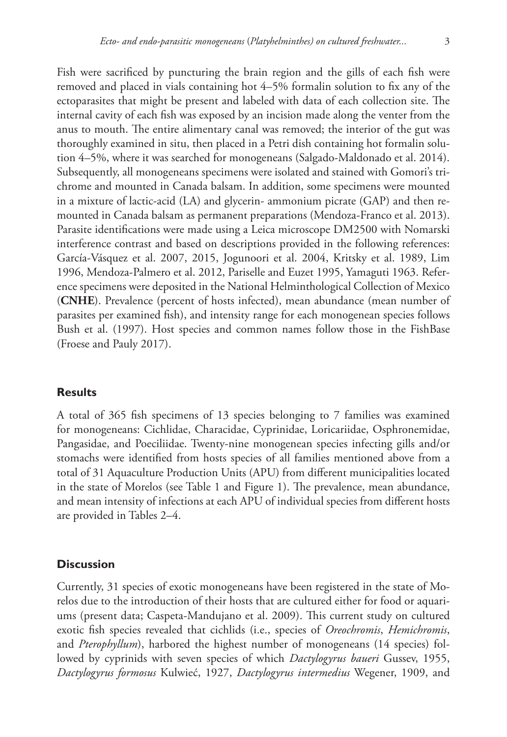Fish were sacrificed by puncturing the brain region and the gills of each fish were removed and placed in vials containing hot 4–5% formalin solution to fix any of the ectoparasites that might be present and labeled with data of each collection site. The internal cavity of each fish was exposed by an incision made along the venter from the anus to mouth. The entire alimentary canal was removed; the interior of the gut was thoroughly examined in situ, then placed in a Petri dish containing hot formalin solution 4–5%, where it was searched for monogeneans (Salgado-Maldonado et al. 2014). Subsequently, all monogeneans specimens were isolated and stained with Gomori's trichrome and mounted in Canada balsam. In addition, some specimens were mounted in a mixture of lactic-acid (LA) and glycerin- ammonium picrate (GAP) and then remounted in Canada balsam as permanent preparations (Mendoza-Franco et al. 2013). Parasite identifications were made using a Leica microscope DM2500 with Nomarski interference contrast and based on descriptions provided in the following references: García-Vásquez et al. 2007, 2015, Jogunoori et al. 2004, Kritsky et al. 1989, Lim 1996, Mendoza-Palmero et al. 2012, Pariselle and Euzet 1995, Yamaguti 1963. Reference specimens were deposited in the National Helminthological Collection of Mexico (**CNHE**). Prevalence (percent of hosts infected), mean abundance (mean number of parasites per examined fish), and intensity range for each monogenean species follows Bush et al. (1997). Host species and common names follow those in the FishBase (Froese and Pauly 2017).

## **Results**

A total of 365 fish specimens of 13 species belonging to 7 families was examined for monogeneans: Cichlidae, Characidae, Cyprinidae, Loricariidae, Osphronemidae, Pangasidae, and Poeciliidae. Twenty-nine monogenean species infecting gills and/or stomachs were identified from hosts species of all families mentioned above from a total of 31 Aquaculture Production Units (APU) from different municipalities located in the state of Morelos (see Table 1 and Figure 1). The prevalence, mean abundance, and mean intensity of infections at each APU of individual species from different hosts are provided in Tables 2–4.

## **Discussion**

Currently, 31 species of exotic monogeneans have been registered in the state of Morelos due to the introduction of their hosts that are cultured either for food or aquariums (present data; Caspeta-Mandujano et al. 2009). This current study on cultured exotic fish species revealed that cichlids (i.e., species of *Oreochromis*, *Hemichromis*, and *Pterophyllum*), harbored the highest number of monogeneans (14 species) followed by cyprinids with seven species of which *Dactylogyrus baueri* Gussev, 1955, *Dactylogyrus formosus* Kulwieć, 1927, *Dactylogyrus intermedius* Wegener, 1909, and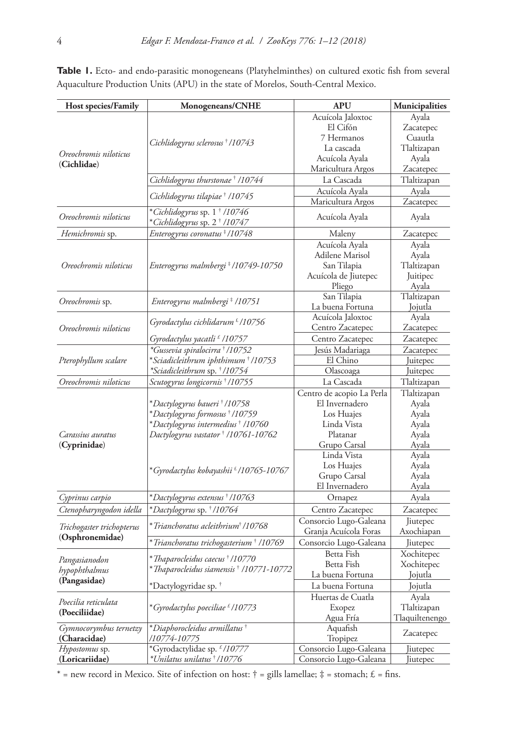Table 1. Ecto- and endo-parasitic monogeneans (Platyhelminthes) on cultured exotic fish from several Aquaculture Production Units (APU) in the state of Morelos, South-Central Mexico.

| Host species/Family       | Monogeneans/CNHE                                                                     | <b>APU</b>                | Municipalities |  |
|---------------------------|--------------------------------------------------------------------------------------|---------------------------|----------------|--|
|                           |                                                                                      | Acuícola Jaloxtoc         | Ayala          |  |
|                           |                                                                                      | El Cifón                  | Zacatepec      |  |
|                           |                                                                                      | 7 Hermanos                | Cuautla        |  |
|                           | Cichlidogyrus sclerosus † /10743                                                     | La cascada                | Tlaltizapan    |  |
| Oreochromis niloticus     |                                                                                      | Acuícola Ayala            | Ayala          |  |
| (Cichlidae)               |                                                                                      | Maricultura Argos         | Zacatepec      |  |
|                           | Cichlidogyrus thurstonae † /10744                                                    | La Cascada                | Tlaltizapan    |  |
|                           | Cichlidogyrus tilapiae† /10745                                                       | Acuícola Ayala            | Ayala          |  |
|                           |                                                                                      | Maricultura Argos         | Zacatepec      |  |
| Oreochromis niloticus     | *Cichlidogyrus sp. 1 <sup>†</sup> /10746<br>*Cichlidogyrus sp. 2 <sup>†</sup> /10747 | Acuícola Ayala            | Ayala          |  |
| Hemichromis sp.           | Enterogyrus coronatus <sup>‡</sup> /10748                                            | Maleny                    | Zacatepec      |  |
|                           |                                                                                      | Acuícola Ayala            | Ayala          |  |
|                           |                                                                                      | Adilene Marisol           | Ayala          |  |
| Oreochromis niloticus     | Enterogyrus malmbergi * /10749-10750                                                 | San Tilapia               | Tlaltizapan    |  |
|                           |                                                                                      | Acuícola de Jiutepec      | Juitipec       |  |
|                           |                                                                                      | Pliego                    | Ayala          |  |
|                           |                                                                                      | San Tilapia               | Tlaltizapan    |  |
| Oreochromis sp.           | Enterogyrus malmbergi ‡ /10751                                                       | La buena Fortuna          | Jojutla        |  |
|                           |                                                                                      | Acuícola Jaloxtoc         | Ayala          |  |
| Oreochromis niloticus     | Gyrodactylus cichlidarum <sup>£</sup> /10756                                         | Centro Zacatepec          | Zacatepec      |  |
|                           | Gyrodactylus yacatli <sup>£</sup> /10757                                             | Centro Zacatepec          | Zacatepec      |  |
|                           | *Gussevia spiralocirra † /10752                                                      | Jesús Madariaga           | Zacatepec      |  |
| Pterophyllum scalare      | *Sciadicleithrum iphthimum † /10753                                                  | El Chino                  | Juitepec       |  |
|                           | *Sciadicleithrum sp. † /10754                                                        | Olascoaga                 | Juitepec       |  |
| Oreochromis niloticus     | Scutogyrus longicornis † /10755                                                      | La Cascada                | Tlaltizapan    |  |
|                           |                                                                                      | Centro de acopio La Perla | Tlaltizapan    |  |
|                           | *Dactylogyrus baueri † /10758                                                        | El Invernadero            | Ayala          |  |
|                           | *Dactylogyrus formosus † /10759                                                      | Los Huajes                | Ayala          |  |
|                           | *Dactylogyrus intermedius† /10760                                                    | Linda Vista               | Ayala          |  |
| Carassius auratus         | Dactylogyrus vastator † /10761-10762                                                 | Platanar                  | Ayala          |  |
| (Cyprinidae)              |                                                                                      | Grupo Carsal              | Ayala          |  |
|                           |                                                                                      | Linda Vista               | Ayala          |  |
|                           |                                                                                      | Los Huajes                | Ayala          |  |
|                           | *Gyrodactylus kobayashii <sup>£</sup> /10765-10767                                   | Grupo Carsal              | Ayala          |  |
|                           |                                                                                      | El Invernadero            | Ayala          |  |
| Cyprinus carpio           | *Dactylogyrus extensus † /10763                                                      | Ornapez                   | Ayala          |  |
| Ctenopharyngodon idella   | *Dactylogyrus sp. † /10764                                                           | Centro Zacatepec          | Zacatepec      |  |
|                           |                                                                                      | Consorcio Lugo-Galeana    | Jiutepec       |  |
| Trichogaster trichopterus | *Trianchoratus acleithrium <sup>†</sup> /10768                                       | Granja Acuícola Foras     | Axochiapan     |  |
| (Osphronemidae)           | *Trianchoratus trichogasterium † /10769                                              | Consorcio Lugo-Galeana    | Jiutepec       |  |
|                           |                                                                                      | Betta Fish                | Xochitepec     |  |
| Pangasianodon             | * Thaparocleidus caecus † /10770                                                     | Betta Fish                | Xochitepec     |  |
| hypophthalmus             | * Thaparocleidus siamensis † /10771-10772                                            | La buena Fortuna          | Jojutla        |  |
| (Pangasidae)              | *Dactylogyridae sp. †                                                                | La buena Fortuna          | Jojutla        |  |
|                           |                                                                                      | Huertas de Cuatla         | Ayala          |  |
| Poecilia reticulata       | *Gyrodactylus poeciliae <sup>£</sup> /10773                                          | Exopez                    | Tlaltizapan    |  |
| (Poeciliidae)             |                                                                                      | Agua Fría                 | Tlaquiltenengo |  |
| Gymnocorymbus ternetzy    | *Diaphorocleidus armillatus†                                                         | Aquafish                  |                |  |
| (Characidae)              | /10774-10775                                                                         | Tropipez                  | Zacatepec      |  |
| Hypostomus sp.            | *Gyrodactylidae sp. £/10777                                                          | Consorcio Lugo-Galeana    | Jiutepec       |  |
| (Loricariidae)            | *Unilatus unilatus † /10776                                                          | Consorcio Lugo-Galeana    | Jiutepec       |  |

 $*$  = new record in Mexico. Site of infection on host:  $\dagger$  = gills lamellae;  $\ddagger$  = stomach;  $\pounds$  = fins.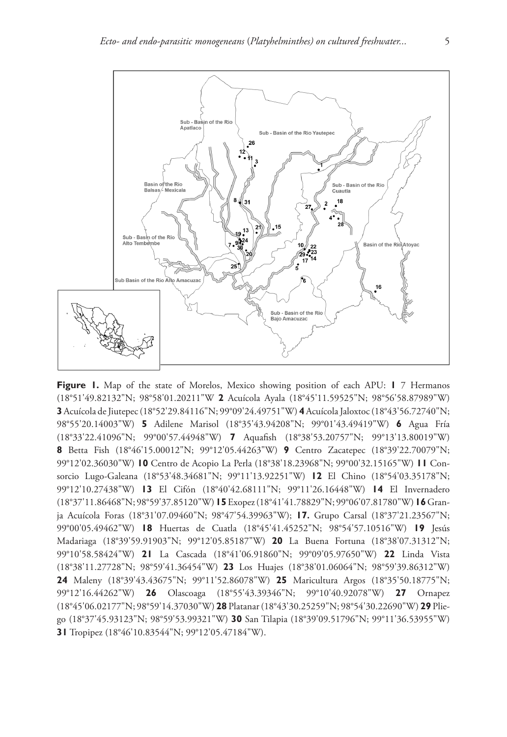

**Figure 1.** Map of the state of Morelos, Mexico showing position of each APU: **1** 7 Hermanos (18°51'49.82132"N; 98°58'01.20211"W **2** Acuícola Ayala (18°45'11.59525"N; 98°56'58.87989"W) **3** Acuícola de Jiutepec (18°52'29.84116"N; 99°09'24.49751"W) **4** Acuícola Jaloxtoc (18°43'56.72740"N; 98°55'20.14003"W) **5** Adilene Marisol (18°35'43.94208"N; 99°01'43.49419"W) **6** Agua Fría (18°33'22.41096"N; 99°00'57.44948"W) **7** Aquafish (18°38'53.20757"N; 99°13'13.80019"W) **8** Betta Fish (18°46'15.00012"N; 99°12'05.44263"W) **9** Centro Zacatepec (18°39'22.70079"N; 99°12'02.36030"W) **10** Centro de Acopio La Perla (18°38'18.23968"N; 99°00'32.15165"W) **11** Consorcio Lugo-Galeana (18°53'48.34681"N; 99°11'13.92251"W) **12** El Chino (18°54'03.35178"N; 99°12'10.27438"W) **13** El Cifón (18°40'42.68111"N; 99°11'26.16448"W) **14** El Invernadero (18°37'11.86468"N; 98°59'37.85120"W) **15** Exopez (18°41'41.78829"N; 99°06'07.81780"W) **16** Granja Acuícola Foras (18°31'07.09460"N; 98°47'54.39963"W); **17.** Grupo Carsal (18°37'21.23567"N; 99°00'05.49462"W) **18** Huertas de Cuatla (18°45'41.45252"N; 98°54'57.10516"W) **19** Jesús Madariaga (18°39'59.91903"N; 99°12'05.85187"W) **20** La Buena Fortuna (18°38'07.31312"N; 99°10'58.58424"W) **21** La Cascada (18°41'06.91860"N; 99°09'05.97650"W) **22** Linda Vista (18°38'11.27728"N; 98°59'41.36454"W) **23** Los Huajes (18°38'01.06064"N; 98°59'39.86312"W) **24** Maleny (18°39'43.43675"N; 99°11'52.86078"W) **25** Maricultura Argos (18°35'50.18775"N; 99°12'16.44262"W) **26** Olascoaga (18°55'43.39346"N; 99°10'40.92078"W) **27** Ornapez (18°45'06.02177"N; 98°59'14.37030"W) **28** Platanar (18°43'30.25259"N; 98°54'30.22690"W) **29** Pliego (18°37'45.93123"N; 98°59'53.99321"W) **30** San Tilapia (18°39'09.51796"N; 99°11'36.53955"W) **31** Tropipez (18°46'10.83544"N; 99°12'05.47184"W).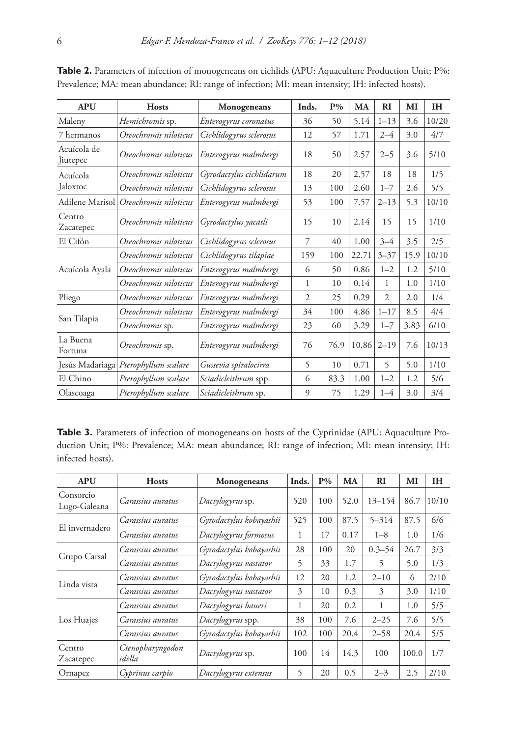| <b>APU</b>              | <b>Hosts</b>                         | Monogeneans              | Inds.        | $P\%$ | MA    | <b>RI</b>    | MI   | <b>IH</b> |
|-------------------------|--------------------------------------|--------------------------|--------------|-------|-------|--------------|------|-----------|
| Maleny                  | Hemichromis sp.                      | Enterogyrus coronatus    | 36           | 50    | 5.14  | $1 - 13$     | 3.6  | 10/20     |
| 7 hermanos              | Oreochromis niloticus                | Cichlidogyrus sclerosus  | 12           | 57    | 1.71  | $2 - 4$      | 3.0  | 4/7       |
| Acuícola de<br>Jiutepec | Oreochromis niloticus                | Enterogyrus malmbergi    | 18           | 50    | 2.57  | $2 - 5$      | 3.6  | 5/10      |
| Acuícola                | Oreochromis niloticus                | Gyrodactylus cichlidarum | 18           | 20    | 2.57  | 18           | 18   | 1/5       |
| Jaloxtoc                | Oreochromis niloticus                | Cichlidogyrus sclerosus  | 13           | 100   | 2.60  | $1 - 7$      | 2.6  | 5/5       |
| Adilene Marisol         | Oreochromis niloticus                | Enterogyrus malmbergi    | 53           | 100   | 7.57  | $2 - 13$     | 5.3  | 10/10     |
| Centro<br>Zacatepec     | Oreochromis niloticus                | Gyrodactylus yacatli     | 15           | 10    | 2.14  | 15           | 15   | 1/10      |
| El Cifón                | Oreochromis niloticus                | Cichlidogyrus sclerosus  | 7            | 40    | 1.00  | $3 - 4$      | 3.5  | 2/5       |
| Acuícola Ayala          | Oreochromis niloticus                | Cichlidogyrus tilapiae   | 159          | 100   | 22.71 | $3 - 37$     | 15.9 | 10/10     |
|                         | Oreochromis niloticus                | Enterogyrus malmbergi    | 6            | 50    | 0.86  | $1 - 2$      | 1.2  | 5/10      |
|                         | Oreochromis niloticus                | Enterogyrus malmbergi    | $\mathbf{1}$ | 10    | 0.14  | $\mathbf{1}$ | 1.0  | 1/10      |
| Pliego                  | Oreochromis niloticus                | Enterogyrus malmbergi    | 2            | 25    | 0.29  | 2            | 2.0  | 1/4       |
|                         | Oreochromis niloticus                | Enterogyrus malmbergi    | 34           | 100   | 4.86  | $1 - 17$     | 8.5  | 4/4       |
| San Tilapia             | Oreochromis sp.                      | Enterogyrus malmbergi    | 23           | 60    | 3.29  | $1 - 7$      | 3.83 | 6/10      |
| La Buena<br>Fortuna     | Oreochromis sp.                      | Enterogyrus malmbergi    | 76           | 76.9  | 10.86 | $2 - 19$     | 7.6  | 10/13     |
|                         | Jesús Madariaga Pterophyllum scalare | Gussevia spiralocirra    | 5            | 10    | 0.71  | 5            | 5.0  | 1/10      |
| El Chino                | Pterophyllum scalare                 | Sciadicleithrum spp.     | 6            | 83.3  | 1.00  | $1 - 2$      | 1.2  | 5/6       |
| Olascoaga               | Pterophyllum scalare                 | Sciadicleithrum sp.      | 9            | 75    | 1.29  | $1 - 4$      | 3.0  | 3/4       |

Table 2. Parameters of infection of monogeneans on cichlids (APU: Aquaculture Production Unit; P%: Prevalence; MA: mean abundance; RI: range of infection; MI: mean intensity; IH: infected hosts).

Table 3. Parameters of infection of monogeneans on hosts of the Cyprinidae (APU: Aquaculture Production Unit; P%: Prevalence; MA: mean abundance; RI: range of infection; MI: mean intensity; IH: infected hosts).

| <b>APU</b>                | <b>Hosts</b>               | Monogeneans             | Inds. | $P\%$ | MA   | RI         | MI    | IН    |
|---------------------------|----------------------------|-------------------------|-------|-------|------|------------|-------|-------|
| Consorcio<br>Lugo-Galeana | Carassius auratus          | Dactylogyrus sp.        | 520   | 100   | 52.0 | $13 - 154$ | 86.7  | 10/10 |
| El invernadero            | Carassius auratus          | Gyrodactylus kobayashii | 525   | 100   | 87.5 | $5 - 314$  | 87.5  | 6/6   |
|                           | Carassius auratus          | Dactylogyrus formosus   |       | 17    | 0.17 | $1 - 8$    | 1.0   | 1/6   |
|                           | Carassius auratus          | Gyrodactylus kobayashii | 28    | 100   | 20   | $0.3 - 54$ | 26.7  | 3/3   |
| Grupo Carsal              | Carassius auratus          | Dactylogyrus vastator   | 5     | 33    | 1.7  | 5          | 5.0   | 1/3   |
| Linda vista               | Carassius auratus          | Gyrodactylus kobayashii | 12    | 20    | 1.2  | $2 - 10$   | 6     | 2/10  |
|                           | Carassius auratus          | Dactylogyrus vastator   | 3     | 10    | 0.3  | 3          | 3.0   | 1/10  |
|                           | Carassius auratus          | Dactylogyrus baueri     | 1     | 20    | 0.2  | 1          | 1.0   | 5/5   |
| Los Huajes                | Carassius auratus          | Dactylogyrus spp.       | 38    | 100   | 7.6  | $2 - 25$   | 7.6   | 5/5   |
|                           | Carassius auratus          | Gyrodactylus kobayashii | 102   | 100   | 20.4 | $2 - 58$   | 20.4  | 5/5   |
| Centro<br>Zacatepec       | Ctenopharyngodon<br>idella | Dactylogyrus sp.        | 100   | 14    | 14.3 | 100        | 100.0 | 1/7   |
| Ornapez                   | Cyprinus carpio            | Dactylogyrus extensus   | 5     | 20    | 0.5  | $2 - 3$    | 2.5   | 2/10  |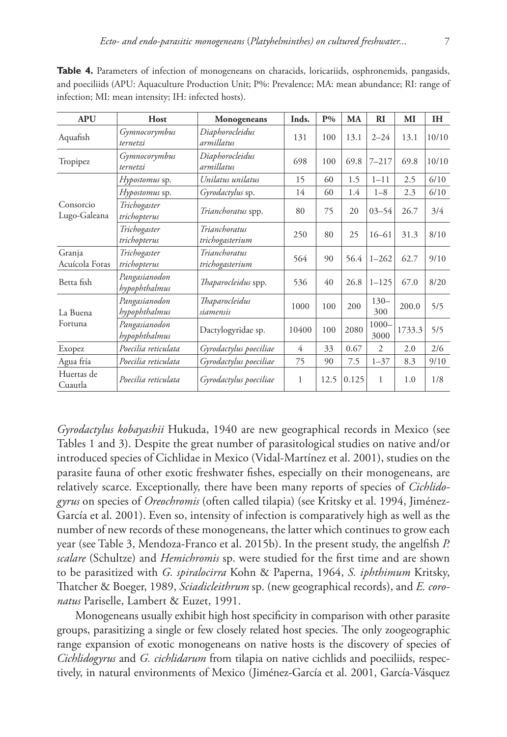| <b>APU</b>                | Host                           | <b>Monogeneans</b>               | Inds. | $P\%$ | MA    | $_{\rm RI}$      | MI     | IH    |
|---------------------------|--------------------------------|----------------------------------|-------|-------|-------|------------------|--------|-------|
| Aquafish                  | Gymnocorymbus<br>ternetzi      | Diaphorocleidus<br>armillatus    | 131   | 100   | 13.1  | $2 - 24$         | 13.1   | 10/10 |
| Tropipez                  | Gymnocorymbus<br>ternetzi      | Diaphorocleidus<br>armillatus    | 698   | 100   | 69.8  | $7 - 217$        | 69.8   | 10/10 |
|                           | Hypostomus sp.                 | Unilatus unilatus                | 15    | 60    | 1.5   | $1 - 11$         | 2.5    | 6/10  |
| Consorcio<br>Lugo-Galeana | Hypostomus sp.                 | Gyrodactylus sp.                 | 14    | 60    | 1.4   | $1 - 8$          | 2.3    | 6/10  |
|                           | Trichogaster<br>trichopterus   | Trianchoratus spp.               | 80    | 75    | 20    | $03 - 54$        | 26.7   | 3/4   |
|                           | Trichogaster<br>trichopterus   | Trianchoratus<br>trichogasterium | 250   | 80    | 25    | $16 - 61$        | 31.3   | 8/10  |
| Granja<br>Acuícola Foras  | Trichogaster<br>trichopterus   | Trianchoratus<br>trichogasterium | 564   | 90    | 56.4  | $1 - 262$        | 62.7   | 9/10  |
| Betta fish                | Pangasianodon<br>hypophthalmus | Thaparocleidus spp.              | 536   | 40    | 26.8  | $1 - 125$        | 67.0   | 8/20  |
| La Buena                  | Pangasianodon<br>hypophthalmus | Thaparocleidus<br>siamensis      | 1000  | 100   | 200   | $130 -$<br>300   | 200.0  | 5/5   |
| Fortuna                   | Pangasianodon<br>hypophthalmus | Dactylogyridae sp.               | 10400 | 100   | 2080  | $1000 -$<br>3000 | 1733.3 | 5/5   |
| Exopez                    | Poecilia reticulata            | Gyrodactylus poeciliae           | 4     | 33    | 0.67  | 2                | 2.0    | 2/6   |
| Agua fría                 | Poecilia reticulata            | Gyrodactylus poeciliae           | 75    | 90    | 7.5   | $1 - 37$         | 8.3    | 9/10  |
| Huertas de<br>Cuautla     | Poecilia reticulata            | Gyrodactylus poeciliae           | 1     | 12.5  | 0.125 | 1                | 1.0    | 1/8   |

**Table 4.** Parameters of infection of monogeneans on characids, loricariids, osphronemids, pangasids, and poeciliids (APU: Aquaculture Production Unit; P%: Prevalence; MA: mean abundance; RI: range of infection; MI: mean intensity; IH: infected hosts).

*Gyrodactylus kobayashii* Hukuda, 1940 are new geographical records in Mexico (see Tables 1 and 3). Despite the great number of parasitological studies on native and/or introduced species of Cichlidae in Mexico (Vidal-Martínez et al. 2001), studies on the parasite fauna of other exotic freshwater fishes, especially on their monogeneans, are relatively scarce. Exceptionally, there have been many reports of species of *Cichlidogyrus* on species of *Oreochromis* (often called tilapia) (see Kritsky et al. 1994, Jiménez-García et al. 2001). Even so, intensity of infection is comparatively high as well as the number of new records of these monogeneans, the latter which continues to grow each year (see Table 3, Mendoza-Franco et al. 2015b). In the present study, the angelfish *P. scalare* (Schultze) and *Hemichromis* sp. were studied for the first time and are shown to be parasitized with *G. spiralocirra* Kohn & Paperna, 1964, *S. iphthimum* Kritsky, Thatcher & Boeger, 1989, *Sciadicleithrum* sp. (new geographical records), and *E. coronatus* Pariselle, Lambert & Euzet, 1991.

Monogeneans usually exhibit high host specificity in comparison with other parasite groups, parasitizing a single or few closely related host species. The only zoogeographic range expansion of exotic monogeneans on native hosts is the discovery of species of *Cichlidogyrus* and *G. cichlidarum* from tilapia on native cichlids and poeciliids, respectively, in natural environments of Mexico (Jiménez-García et al. 2001, García-Vásquez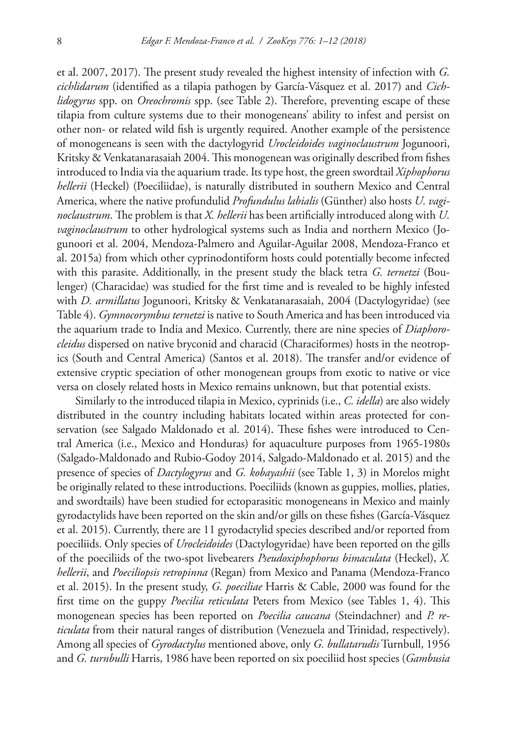et al. 2007, 2017). The present study revealed the highest intensity of infection with *G. cichlidarum* (identified as a tilapia pathogen by García-Vásquez et al. 2017) and *Cichlidogyrus* spp. on *Oreochromis* spp. (see Table 2). Therefore, preventing escape of these tilapia from culture systems due to their monogeneans' ability to infest and persist on other non- or related wild fish is urgently required. Another example of the persistence of monogeneans is seen with the dactylogyrid *Urocleidoides vaginoclaustrum* Jogunoori, Kritsky & Venkatanarasaiah 2004. This monogenean was originally described from fishes introduced to India via the aquarium trade. Its type host, the green swordtail *Xiphophorus hellerii* (Heckel) (Poeciliidae), is naturally distributed in southern Mexico and Central America, where the native profundulid *Profundulus labialis* (Günther) also hosts *U. vaginoclaustrum*. The problem is that *X. hellerii* has been artificially introduced along with *U. vaginoclaustrum* to other hydrological systems such as India and northern Mexico (Jogunoori et al. 2004, Mendoza-Palmero and Aguilar-Aguilar 2008, Mendoza-Franco et al. 2015a) from which other cyprinodontiform hosts could potentially become infected with this parasite. Additionally, in the present study the black tetra *G. ternetzi* (Boulenger) (Characidae) was studied for the first time and is revealed to be highly infested with *D. armillatus* Jogunoori, Kritsky & Venkatanarasaiah, 2004 (Dactylogyridae) (see Table 4). *Gymnocorymbus ternetzi* is native to South America and has been introduced via the aquarium trade to India and Mexico. Currently, there are nine species of *Diaphorocleidus* dispersed on native bryconid and characid (Characiformes) hosts in the neotropics (South and Central America) (Santos et al. 2018). The transfer and/or evidence of extensive cryptic speciation of other monogenean groups from exotic to native or vice versa on closely related hosts in Mexico remains unknown, but that potential exists.

Similarly to the introduced tilapia in Mexico, cyprinids (i.e., *C. idella*) are also widely distributed in the country including habitats located within areas protected for conservation (see Salgado Maldonado et al. 2014). These fishes were introduced to Central America (i.e., Mexico and Honduras) for aquaculture purposes from 1965-1980s (Salgado-Maldonado and Rubio-Godoy 2014, Salgado-Maldonado et al. 2015) and the presence of species of *Dactylogyrus* and *G. kobayashii* (see Table 1, 3) in Morelos might be originally related to these introductions. Poeciliids (known as guppies, mollies, platies, and swordtails) have been studied for ectoparasitic monogeneans in Mexico and mainly gyrodactylids have been reported on the skin and/or gills on these fishes (García-Vásquez et al. 2015). Currently, there are 11 gyrodactylid species described and/or reported from poeciliids. Only species of *Urocleidoides* (Dactylogyridae) have been reported on the gills of the poeciliids of the two-spot livebearers *Pseudoxiphophorus bimaculata* (Heckel), *X. hellerii*, and *Poeciliopsis retropinna* (Regan) from Mexico and Panama (Mendoza-Franco et al. 2015). In the present study, *G. poeciliae* Harris & Cable, 2000 was found for the first time on the guppy *Poecilia reticulata* Peters from Mexico (see Tables 1, 4). This monogenean species has been reported on *Poecilia caucana* (Steindachner) and *P. reticulata* from their natural ranges of distribution (Venezuela and Trinidad, respectively). Among all species of *Gyrodactylus* mentioned above, only *G. bullatarudis* Turnbull, 1956 and *G. turnbulli* Harris, 1986 have been reported on six poeciliid host species (*Gambusia*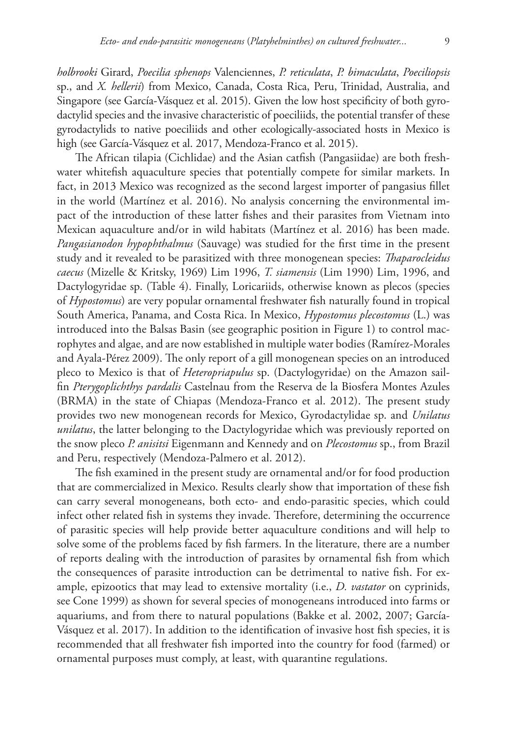*holbrooki* Girard, *Poecilia sphenops* Valenciennes, *P. reticulata*, *P. bimaculata*, *Poeciliopsis* sp., and *X. hellerii*) from Mexico, Canada, Costa Rica, Peru, Trinidad, Australia, and Singapore (see García-Vásquez et al. 2015). Given the low host specificity of both gyrodactylid species and the invasive characteristic of poeciliids, the potential transfer of these gyrodactylids to native poeciliids and other ecologically-associated hosts in Mexico is high (see García-Vásquez et al. 2017, Mendoza-Franco et al. 2015).

The African tilapia (Cichlidae) and the Asian catfish (Pangasiidae) are both freshwater whitefish aquaculture species that potentially compete for similar markets. In fact, in 2013 Mexico was recognized as the second largest importer of pangasius fillet in the world (Martínez et al. 2016). No analysis concerning the environmental impact of the introduction of these latter fishes and their parasites from Vietnam into Mexican aquaculture and/or in wild habitats (Martínez et al. 2016) has been made. *Pangasianodon hypophthalmus* (Sauvage) was studied for the first time in the present study and it revealed to be parasitized with three monogenean species: *Thaparocleidus caecus* (Mizelle & Kritsky, 1969) Lim 1996, *T. siamensis* (Lim 1990) Lim, 1996, and Dactylogyridae sp. (Table 4). Finally, Loricariids, otherwise known as plecos (species of *Hypostomus*) are very popular ornamental freshwater fish naturally found in tropical South America, Panama, and Costa Rica. In Mexico, *Hypostomus plecostomus* (L.) was introduced into the Balsas Basin (see geographic position in Figure 1) to control macrophytes and algae, and are now established in multiple water bodies (Ramírez-Morales and Ayala-Pérez 2009). The only report of a gill monogenean species on an introduced pleco to Mexico is that of *Heteropriapulus* sp. (Dactylogyridae) on the Amazon sailfin *Pterygoplichthys pardalis* Castelnau from the Reserva de la Biosfera Montes Azules (BRMA) in the state of Chiapas (Mendoza-Franco et al. 2012). The present study provides two new monogenean records for Mexico, Gyrodactylidae sp. and *Unilatus unilatus*, the latter belonging to the Dactylogyridae which was previously reported on the snow pleco *P. anisitsi* Eigenmann and Kennedy and on *Plecostomus* sp., from Brazil and Peru, respectively (Mendoza-Palmero et al. 2012).

The fish examined in the present study are ornamental and/or for food production that are commercialized in Mexico. Results clearly show that importation of these fish can carry several monogeneans, both ecto- and endo-parasitic species, which could infect other related fish in systems they invade. Therefore, determining the occurrence of parasitic species will help provide better aquaculture conditions and will help to solve some of the problems faced by fish farmers. In the literature, there are a number of reports dealing with the introduction of parasites by ornamental fish from which the consequences of parasite introduction can be detrimental to native fish. For example, epizootics that may lead to extensive mortality (i.e., *D. vastator* on cyprinids, see Cone 1999) as shown for several species of monogeneans introduced into farms or aquariums, and from there to natural populations (Bakke et al. 2002, 2007; García-Vásquez et al. 2017). In addition to the identification of invasive host fish species, it is recommended that all freshwater fish imported into the country for food (farmed) or ornamental purposes must comply, at least, with quarantine regulations.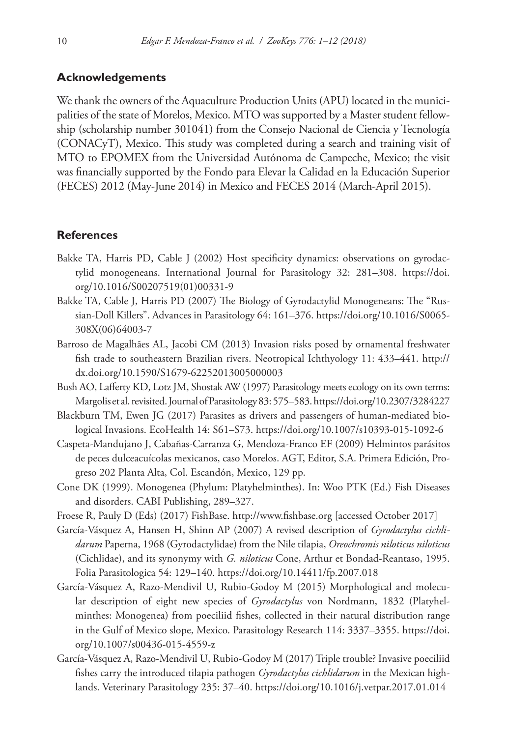## **Acknowledgements**

We thank the owners of the Aquaculture Production Units (APU) located in the municipalities of the state of Morelos, Mexico. MTO was supported by a Master student fellowship (scholarship number 301041) from the Consejo Nacional de Ciencia y Tecnología (CONACyT), Mexico. This study was completed during a search and training visit of MTO to EPOMEX from the Universidad Autónoma de Campeche, Mexico; the visit was financially supported by the Fondo para Elevar la Calidad en la Educación Superior (FECES) 2012 (May-June 2014) in Mexico and FECES 2014 (March-April 2015).

### **References**

- Bakke TA, Harris PD, Cable J (2002) Host specificity dynamics: observations on gyrodactylid monogeneans. International Journal for Parasitology 32: 281–308. [https://doi.](https://doi.org/10.1016/S00207519(01)00331-9) [org/10.1016/S00207519\(01\)00331-9](https://doi.org/10.1016/S00207519(01)00331-9)
- Bakke TA, Cable J, Harris PD (2007) The Biology of Gyrodactylid Monogeneans: The "Russian-Doll Killers". Advances in Parasitology 64: 161–376. [https://doi.org/10.1016/S0065-](https://doi.org/10.1016/S0065-308X(06)64003-7) [308X\(06\)64003-7](https://doi.org/10.1016/S0065-308X(06)64003-7)
- Barroso de Magalhães AL, Jacobi CM (2013) Invasion risks posed by ornamental freshwater fish trade to southeastern Brazilian rivers. Neotropical Ichthyology 11: 433–441. [http://](http://dx.doi.org/10.1590/S1679-62252013005000003) [dx.doi.org/10.1590/S1679-62252013005000003](http://dx.doi.org/10.1590/S1679-62252013005000003)
- Bush AO, Lafferty KD, Lotz JM, Shostak AW (1997) Parasitology meets ecology on its own terms: Margolis et al. revisited. Journal of Parasitology 83: 575–583.<https://doi.org/10.2307/3284227>
- Blackburn TM, Ewen JG (2017) Parasites as drivers and passengers of human-mediated biological Invasions. EcoHealth 14: S61–S73.<https://doi.org/10.1007/s10393-015-1092-6>
- Caspeta-Mandujano J, Cabañas-Carranza G, Mendoza-Franco EF (2009) Helmintos parásitos de peces dulceacuícolas mexicanos, caso Morelos. AGT, Editor, S.A. Primera Edición, Progreso 202 Planta Alta, Col. Escandón, Mexico, 129 pp.
- Cone DK (1999). Monogenea (Phylum: Platyhelminthes). In: Woo PTK (Ed.) Fish Diseases and disorders. CABI Publishing, 289–327.
- Froese R, Pauly D (Eds) (2017) FishBase. <http://www.fishbase.org>[accessed October 2017]
- García-Vásquez A, Hansen H, Shinn AP (2007) A revised description of *Gyrodactylus cichlidarum* Paperna, 1968 (Gyrodactylidae) from the Nile tilapia, *Oreochromis niloticus niloticus* (Cichlidae), and its synonymy with *G. niloticus* Cone, Arthur et Bondad-Reantaso, 1995. Folia Parasitologica 54: 129–140.<https://doi.org/10.14411/fp.2007.018>
- García-Vásquez A, Razo-Mendivil U, Rubio-Godoy M (2015) Morphological and molecular description of eight new species of *Gyrodactylus* von Nordmann, 1832 (Platyhelminthes: Monogenea) from poeciliid fishes, collected in their natural distribution range in the Gulf of Mexico slope, Mexico. Parasitology Research 114: 3337–3355. [https://doi.](https://doi.org/10.1007/s00436-015-4559-z) [org/10.1007/s00436-015-4559-z](https://doi.org/10.1007/s00436-015-4559-z)
- García-Vásquez A, Razo-Mendivil U, Rubio-Godoy M (2017) Triple trouble? Invasive poeciliid fishes carry the introduced tilapia pathogen *Gyrodactylus cichlidarum* in the Mexican highlands. Veterinary Parasitology 235: 37–40. <https://doi.org/10.1016/j.vetpar.2017.01.014>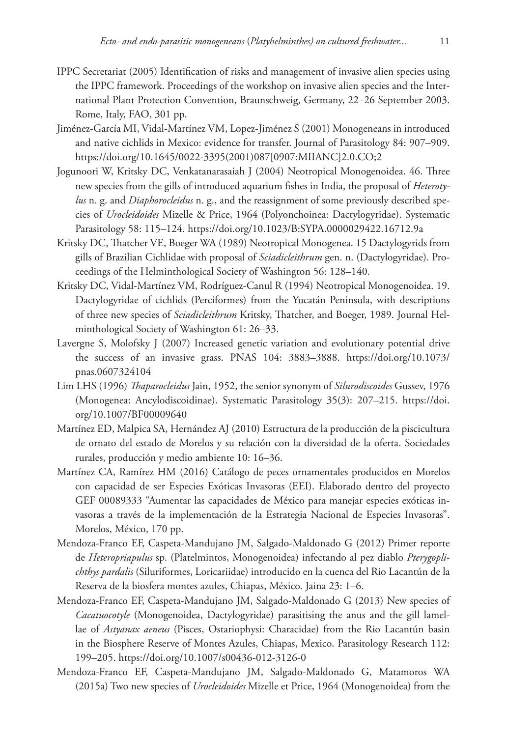- IPPC Secretariat (2005) Identification of risks and management of invasive alien species using the IPPC framework. Proceedings of the workshop on invasive alien species and the International Plant Protection Convention, Braunschweig, Germany, 22–26 September 2003. Rome, Italy, FAO, 301 pp.
- Jiménez-García MI, Vidal-Martínez VM, Lopez-Jiménez S (2001) Monogeneans in introduced and native cichlids in Mexico: evidence for transfer. Journal of Parasitology 84: 907–909. [https://doi.org/10.1645/0022-3395\(2001\)087\[0907:MIIANC\]2.0.CO;2](https://doi.org/10.1645/0022-3395(2001)087%5B0907:MIIANC%5D2.0.CO;2)
- Jogunoori W, Kritsky DC, Venkatanarasaiah J (2004) Neotropical Monogenoidea. 46. Three new species from the gills of introduced aquarium fishes in India, the proposal of *Heterotylus* n. g. and *Diaphorocleidus* n. g., and the reassignment of some previously described species of *Urocleidoides* Mizelle & Price, 1964 (Polyonchoinea: Dactylogyridae). Systematic Parasitology 58: 115–124.<https://doi.org/10.1023/B:SYPA.0000029422.16712.9a>
- Kritsky DC, Thatcher VE, Boeger WA (1989) Neotropical Monogenea. 15 Dactylogyrids from gills of Brazilian Cichlidae with proposal of *Sciadicleithrum* gen. n. (Dactylogyridae). Proceedings of the Helminthological Society of Washington 56: 128–140.
- Kritsky DC, Vidal-Martínez VM, Rodríguez-Canul R (1994) Neotropical Monogenoidea. 19. Dactylogyridae of cichlids (Perciformes) from the Yucatán Peninsula, with descriptions of three new species of *Sciadicleithrum* Kritsky, Thatcher, and Boeger, 1989. Journal Helminthological Society of Washington 61: 26–33.
- Lavergne S, Molofsky J (2007) Increased genetic variation and evolutionary potential drive the success of an invasive grass. PNAS 104: 3883–3888. [https://doi.org/10.1073/](https://doi.org/10.1073/pnas.0607324104) [pnas.0607324104](https://doi.org/10.1073/pnas.0607324104)
- Lim LHS (1996) *Thaparocleidus* Jain, 1952, the senior synonym of *Silurodiscoides* Gussev, 1976 (Monogenea: Ancylodiscoidinae). Systematic Parasitology 35(3): 207–215. [https://doi.](https://doi.org/10.1007/BF00009640) [org/10.1007/BF00009640](https://doi.org/10.1007/BF00009640)
- Martínez ED, Malpica SA, Hernández AJ (2010) Estructura de la producción de la piscicultura de ornato del estado de Morelos y su relación con la diversidad de la oferta. Sociedades rurales, producción y medio ambiente 10: 16–36.
- Martínez CA, Ramírez HM (2016) Catálogo de peces ornamentales producidos en Morelos con capacidad de ser Especies Exóticas Invasoras (EEI). Elaborado dentro del proyecto GEF 00089333 "Aumentar las capacidades de México para manejar especies exóticas invasoras a través de la implementación de la Estrategia Nacional de Especies Invasoras". Morelos, México, 170 pp.
- Mendoza-Franco EF, Caspeta-Mandujano JM, Salgado-Maldonado G (2012) Primer reporte de *Heteropriapulus* sp. (Platelmintos, Monogenoidea) infectando al pez diablo *Pterygoplichthys pardalis* (Siluriformes, Loricariidae) introducido en la cuenca del Rio Lacantún de la Reserva de la biosfera montes azules, Chiapas, México. Jaina 23: 1–6.
- Mendoza-Franco EF, Caspeta-Mandujano JM, Salgado-Maldonado G (2013) New species of *Cacatuocotyle* (Monogenoidea, Dactylogyridae) parasitising the anus and the gill lamellae of *Astyanax aeneus* (Pisces, Ostariophysi: Characidae) from the Rio Lacantún basin in the Biosphere Reserve of Montes Azules, Chiapas, Mexico. Parasitology Research 112: 199–205.<https://doi.org/10.1007/s00436-012-3126-0>
- Mendoza-Franco EF, Caspeta-Mandujano JM, Salgado-Maldonado G, Matamoros WA (2015a) Two new species of *Urocleidoides* Mizelle et Price, 1964 (Monogenoidea) from the